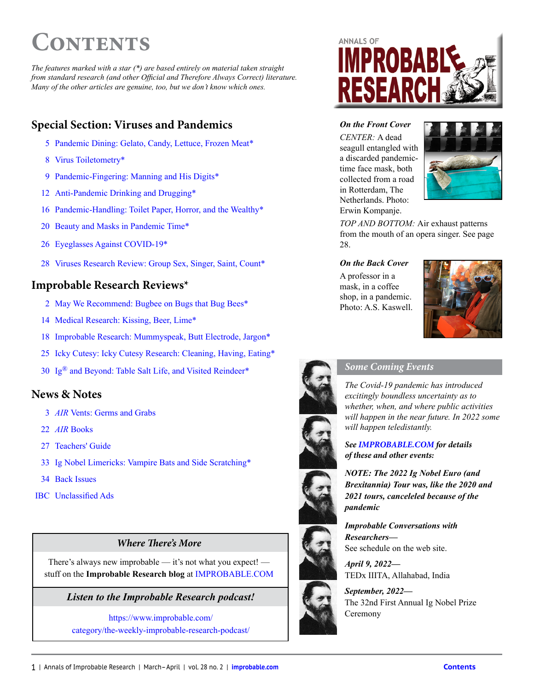# <span id="page-0-0"></span>**Contents**

*The features marked with a star (\*) are based entirely on material taken straight from standard research (and other Official and Therefore Always Correct) literature. Many of the other articles are genuine, too, but we don't know which ones.* 

#### **Special Section: Viruses and Pandemics**

- 5 Pandemic Dining: Gelato, Candy, Lettuce, Frozen Meat\*
- 8 Virus Toiletometry\*
- 9 Pandemic-Fingering: Manning and His Digits\*
- 12 Anti-Pandemic Drinking and Drugging\*
- 16 Pandemic-Handling: Toilet Paper, Horror, and the Wealthy\*
- 20 Beauty and Masks in Pandemic Time\*
- 26 Eyeglasses Against COVID-19\*
- 28 Viruses Research Review: Group Sex, Singer, Saint, Count\*

#### **Improbable Research Reviews\***

- 2 [May We Recommend: Bugbee on Bugs that Bug Bees\\*](#page-1-0)
- 14 Medical Research: Kissing, Beer, Lime\*
- 18 Improbable Research: Mummyspeak, Butt Electrode, Jargon\*
- 25 Icky Cutesy: Icky Cutesy Research: Cleaning, Having, Eating\*
- 30 Ig® and Beyond: Table Salt Life, and Visited Reindeer\*

#### **News & Notes**

- 3 *AIR* Vents: Germs and Grabs
- 22 *AIR* Books
- 27 Teachers' Guide
- 33 Ig Nobel Limericks: Vampire Bats and Side Scratching\*
- 34 Back Issues
- **IBC** Unclassified Ads

#### *Where* **!***ere's More*

There's always new improbable — it's not what you expect! stuff on the **Improbable Research blog** at [IMPROBABLE.COM](http://www.improbable.com)

*Listen to the Improbable Research podcast!*

[https://www.improbable.com/](https://www.improbable.com/category/the-weekly-improbable-research-podcast/) [category/the-weekly-improbable-research-podcast/](https://www.improbable.com/category/the-weekly-improbable-research-podcast/)



#### *On the Front Cover*

CENTER: A dead seagull entangled with a discarded pandemictime face mask, both collected from a road in Rotterdam, The Netherlands. Photo: Erwin Kompanje.



*TOP AND BOTTOM:* Air exhaust patterns from the mouth of an opera singer. See page 28.

#### *On the Back Cover*

A professor in a mask, in a coffee shop, in a pandemic. Photo: A.S. Kaswell.





#### *Some Coming Events*

*The Covid-19 pandemic has introduced excitingly boundless uncertainty as to whether, when, and where public activities will happen in the near future. In 2022 some will happen teledistantly.* 

*See [IMPROBABLE.COM](http://www.improbable.com) for details of these and other events:*

*NOTE: The 2022 Ig Nobel Euro (and Brexitannia) Tour was, like the 2020 and 2021 tours, canceleled because of the pandemic*

*Improbable Conversations with Researchers—* See schedule on the web site. *April 9, 2022—*

TEDx IIITA, Allahabad, India

*September, 2022—* The 32nd First Annual Ig Nobel Prize **Ceremony**